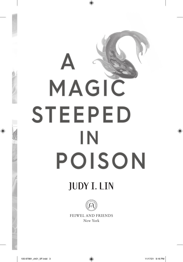# MAGIC **STEEPED** IN POISON **JUDY I. LIN**



FEIWEL AND FRIENDS New York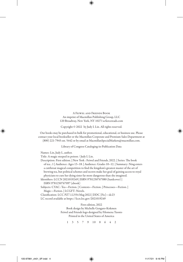A Feiwel and Friends Book An imprint of Macmillan Publishing Group, LLC 120 Broadway, New York, NY 10271 • fiercereads.com

Copyright © 2022 by Judy I. Lin. All rights reserved.

Our books may be purchased in bulk for promotional, educational, or business use. Please contact your local bookseller or the Macmillan Corporate and Premium Sales Department at (800) 221-7945 ext. 5442 or by email at MacmillanSpecialMarkets@macmillan.com.

Library of Congress Cataloging-in-Publication Data

Names: Lin, Judy I., author. Title: A magic steeped in poison / Judy I. Lin. Description: First edition. | New York : Feiwel and Friends, 2022. | Series: The book of tea ; 1 | Audience: Ages 13–18. | Audience: Grades 10–12. | Summary: Ning enters a cutthroat magical competition to find the kingdom's greatest master of the art of brewing tea, but political schemes and secrets make her goal of gaining access to royal physicians to cure her dying sister far more dangerous than she imagined. Identifiers: LCCN 2021019249 | ISBN 9781250767080 (hardcover) | ISBN 9781250767097 (ebook) Subjects: CYAC: Tea—Fiction. | Contests—Fiction. | Princesses—Fiction. | Magic—Fiction. | LCGFT: Novels. Classification: LCC PZ7.1.L554 Mag 2022 | DDC [Fic]—dc23 LC record available at https://lccn.loc.gov/2021019249

First edition, 2022 Book design by Michelle Gengaro-Kokmen Feiwel and Friends logo designed by Filomena Tuosto Printed in the United States of America

1 3 5 7 9 10 8 6 4 2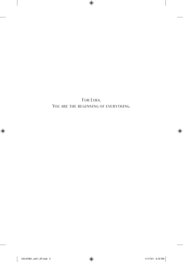For Lyra. YOU ARE THE BEGINNING OF EVERYTHING.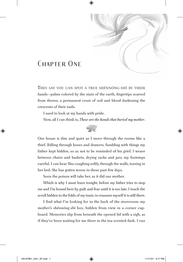

# Chapter One

THEY SAY YOU CAN SPOT A TRUE SHÉNNÓNG-SHĪ BY THEIR hands—palms colored by the stain of the earth, fingertips scarred from thorns, a permanent crust of soil and blood darkening the crescents of their nails.

I used to look at my hands with pride.

Now, all I can think is, *These are the hands that buried my mother*.



Our house is dim and quiet as I move through the rooms like a thief. Rifling through boxes and drawers, fumbling with things my father kept hidden, so as not to be reminded of his grief. I weave between chairs and baskets, drying racks and jars, my footsteps careful. I can hear Shu coughing softly through the walls, tossing in her bed. She has gotten worse in these past few days.

Soon the poison will take her, as it did our mother.

Which is why I must leave tonight, before my father tries to stop me and I'm bound here by guilt and fear until it is too late. I touch the scroll hidden in the folds of my tunic, to reassure myself it is still there.

I find what I'm looking for in the back of the storeroom: my mother's shénnóng- shī box, hidden from view in a corner cupboard. Memories slip from beneath the opened lid with a sigh, as if they've been waiting for me there in the tea- scented dark. I run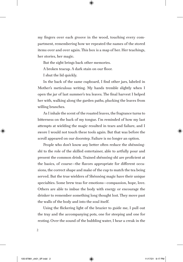my fingers over each groove in the wood, touching every compartment, remembering how we repeated the names of the stored items over and over again. This box is a map of her. Her teachings, her stories, her magic.

But the sight brings back other memories.

A broken teacup. A dark stain on our floor.

I shut the lid quickly.

In the back of the same cupboard, I find other jars, labeled in Mother's meticulous writing. My hands tremble slightly when I open the jar of last summer's tea leaves. The final harvest I helped her with, walking along the garden paths, plucking the leaves from willing branches.

As I inhale the scent of the roasted leaves, the fragrance turns to bitterness on the back of my tongue. I'm reminded of how my last attempts at wielding the magic resulted in tears and failure, and I swore I would not touch these tools again. But that was before the scroll appeared on our doorstep. Failure is no longer an option.

People who don't know any better often reduce the shénnóngshī to the role of the skilled entertainer, able to artfully pour and present the common drink. Trained shénnóng-shī are proficient at the basics, of course—the flavors appropriate for different occasions, the correct shape and make of the cup to match the tea being served. But the true wielders of Shénnóng magic have their unique specialties. Some brew teas for emotions—compassion, hope, love. Others are able to imbue the body with energy or encourage the drinker to remember something long thought lost. They move past the walls of the body and into the soul itself.

Using the flickering light of the brazier to guide me, I pull out the tray and the accompanying pots, one for steeping and one for resting. Over the sound of the bubbling water, I hear a creak in the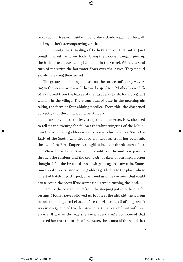next room. I freeze, afraid of a long, dark shadow against the wall, and my father's accompanying wrath.

But it's only the rumbling of Father's snores. I let out a quiet breath and return to my tools. Using the wooden tongs, I pick up the balls of tea leaves and place them in the vessel. With a careful turn of the wrist, the hot water flows over the leaves. They uncurl slowly, releasing their secrets.

The greatest shénnóng-shī can see the future unfolding, wavering in the steam over a well-brewed cup. Once, Mother brewed fù pén zĭ, dried from the leaves of the raspberry bush, for a pregnant woman in the village. The steam burned blue in the morning air, taking the form of four shining needles. From this, she discerned correctly that the child would be stillborn.

I hear her voice as the leaves expand in the water. How she used to tell us the evening fog follows the white wingtips of the Mountain Guardian, the goddess who turns into a bird at dusk. She is the Lady of the South, who dropped a single leaf from her beak into the cup of the First Emperor, and gifted humans the pleasure of tea.

When I was little, Shu and I would trail behind our parents through the gardens and the orchards, baskets at our hips. I often thought I felt the brush of those wingtips against my skin. Sometimes we'd stop to listen as the goddess guided us to the place where a nest of hatchlings chirped, or warned us of heavy rains that could cause rot in the roots if we weren't diligent in turning the land.

I empty the golden liquid from the steeping pot into the one for resting. Mother never allowed us to forget the old, old ways, from before the conquered clans, before the rise and fall of empires. It was in every cup of tea she brewed, a ritual carried out with reverence. It was in the way she knew every single component that entered her tea—the origin of the water, the aroma of the wood that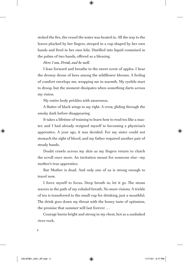stoked the fire, the vessel the water was heated in. All the way to the leaves plucked by her fingers, steeped in a cup shaped by her own hands and fired in her own kiln. Distilled into liquid contained in the palms of two hands, offered as a blessing.

### *Here I am. Drink, and be well.*

I lean forward and breathe in the sweet scent of apples. I hear the drowsy drone of bees among the wildflower blooms. A feeling of comfort envelops me, wrapping me in warmth. My eyelids start to droop, but the moment dissipates when something darts across my vision.

My entire body prickles with awareness.

A flutter of black wings to my right. A crow, gliding through the smoky dark before disappearing.

It takes a lifetime of training to learn how to read tea like a master, and I had already resigned myself to becoming a physician's apprentice. A year ago, it was decided. For my sister could not stomach the sight of blood, and my father required another pair of steady hands.

Doubt crawls across my skin as my fingers return to clutch the scroll once more. An invitation meant for someone else—my mother's true apprentice.

But Mother is dead. And only one of us is strong enough to travel now.

I force myself to focus. Deep breath in, let it go. The steam wavers in the path of my exhaled breath. No more visions. A trickle of tea is transferred to the small cup for drinking, just a mouthful. The drink goes down my throat with the honey taste of optimism, the promise that summer will last forever . . .

Courage burns bright and strong in my chest, hot as a sunbaked river rock.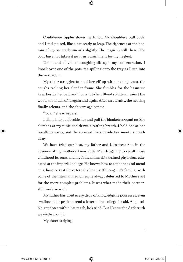Confidence ripples down my limbs. My shoulders pull back, and I feel poised, like a cat ready to leap. The tightness at the bottom of my stomach uncurls slightly. The magic is still there. The gods have not taken it away as punishment for my neglect.

The sound of violent coughing disrupts my concentration. I knock over one of the pots, tea spilling onto the tray as I run into the next room.

My sister struggles to hold herself up with shaking arms, the coughs racking her slender frame. She fumbles for the basin we keep beside her bed, and I pass it to her. Blood splatters against the wood, too much of it, again and again. After an eternity, the heaving finally relents, and she shivers against me.

"Cold," she whispers.

I climb into bed beside her and pull the blankets around us. She clutches at my tunic and draws a rattling breath. I hold her as her breathing eases, and the strained lines beside her mouth smooth away.

We have tried our best, my father and I, to treat Shu in the absence of my mother's knowledge. Me, struggling to recall those childhood lessons, and my father, himself a trained physician, educated at the imperial college. He knows how to set bones and mend cuts, how to treat the external ailments. Although he's familiar with some of the internal medicines, he always deferred to Mother's art for the more complex problems. It was what made their partnership work so well.

My father has used every drop of knowledge he possesses, even swallowed his pride to send a letter to the college for aid. All possible antidotes within his reach, he's tried. But I know the dark truth we circle around.

My sister is dying.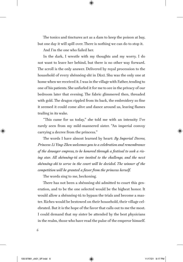The tonics and tinctures act as a dam to keep the poison at bay, but one day it will spill over. There is nothing we can do to stop it.

And I'm the one who failed her.

In the dark, I wrestle with my thoughts and my worry. I do not want to leave her behind, but there is no other way forward. The scroll is the only answer. Delivered by royal procession to the household of every shénnóng-shī in Dàxī. Shu was the only one at home when we received it. I was in the village with Father, tending to one of his patients. She unfurled it for me to see in the privacy of our bedroom later that evening. The fabric glimmered then, threaded with gold. The dragon rippled from its back, the embroidery so fine it seemed it could come alive and dance around us, leaving flames trailing in its wake.

"This came for us today," she told me with an intensity I've rarely seen from my mild-mannered sister. "An imperial convoy carrying a decree from the princess."

The words I have almost learned by heart: *By Imperial Decree, Princess Li Ying-Zhen welcomes you to a celebration and remembrance of the dowager empress, to be honored through a festival to seek a rising star. All shénnóng-tú are invited to the challenge, and the next shénnóng-shī to serve in the court will be decided. The winner of the competition will be granted a favor from the princess herself.*

The words sing to me, beckoning.

There has not been a shénnóng-shī admitted to court this generation, and to be the one selected would be the highest honor. It would allow a shénnóng-tú to bypass the trials and become a master. Riches would be bestowed on their household, their village celebrated. But it is the hope of the favor that calls out to me the most. I could demand that my sister be attended by the best physicians in the realm, those who have read the pulse of the emperor himself.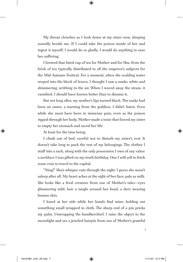My throat clenches as I look down at my sister now, sleeping soundly beside me. If I could take the poison inside of her and ingest it myself, I would do so gladly. I would do anything to ease her suffering.

I brewed that fated cup of tea for Mother and for Shu, from the brick of tea typically distributed to all the emperor's subjects for the Mid-Autumn Festival. For a moment, when the scalding water seeped into the block of leaves, I thought I saw a snake, white and shimmering, writhing in the air. When I waved away the steam, it vanished. I should have known better than to dismiss it.

But not long after, my mother's lips turned black. The snake had been an omen, a warning from the goddess. I didn't listen. Even while she must have been in immense pain, even as the poison ripped through her body, Mother made a tonic that forced my sister to empty her stomach and saved her life.

At least for the time being.

I climb out of bed, careful not to disturb my sister's rest. It doesn't take long to pack the rest of my belongings. The clothes I stuff into a sack, along with the only possession I own of any value: a necklace I was gifted on my tenth birthday. One I will sell to fetch some coin to travel to the capital.

"Ning!" Shu's whisper cuts through the night. I guess she wasn't asleep after all. My heart aches at the sight of her face, pale as milk. She looks like a feral creature from one of Mother's tales—eyes glimmering wild, hair a tangle around her head, a deer wearing human skin.

I kneel at her side while her hands find mine, holding out something small wrapped in cloth. The sharp end of a pin pricks my palm. Unwrapping the handkerchief, I raise the object to the moonlight and see a jeweled hairpin from one of Mother's grateful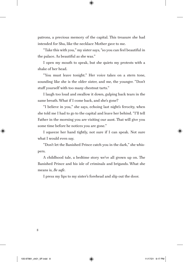patrons, a precious memory of the capital. This treasure she had intended for Shu, like the necklace Mother gave to me.

"Take this with you," my sister says, "so you can feel beautiful in the palace. As beautiful as she was."

I open my mouth to speak, but she quiets my protests with a shake of her head.

"You must leave tonight." Her voice takes on a stern tone, sounding like she is the older sister, and me, the younger. "Don't stuff yourself with too many chestnut tarts."

I laugh too loud and swallow it down, gulping back tears in the same breath. What if I come back, and she's gone?

"I believe in you," she says, echoing last night's ferocity, when she told me I had to go to the capital and leave her behind. "I'll tell Father in the morning you are visiting our aunt. That will give you some time before he notices you are gone."

I squeeze her hand tightly, not sure if I can speak. Not sure what I would even say.

"Don't let the Banished Prince catch you in the dark," she whispers.

A childhood tale, a bedtime story we've all grown up on. The Banished Prince and his isle of criminals and brigands. What she means is, *Be safe*.

I press my lips to my sister's forehead and slip out the door.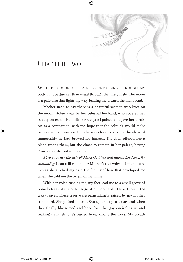## CHAPTER TWO

WITH THE COURAGE TEA STILL UNFURLING THROUGH MY body, I move quicker than usual through the misty night. The moon is a pale disc that lights my way, leading me toward the main road.

Mother used to say there is a beautiful woman who lives on the moon, stolen away by her celestial husband, who coveted her beauty on earth. He built her a crystal palace and gave her a rabbit as a companion, with the hope that the solitude would make her crave his presence. But she was clever and stole the elixir of immortality he had brewed for himself. The gods offered her a place among them, but she chose to remain in her palace, having grown accustomed to the quiet.

*They gave her the title of Moon Goddess and named her Ning, for tranquility.* I can still remember Mother's soft voice, telling me stories as she stroked my hair. The feeling of love that enveloped me when she told me the origin of my name.

With her voice guiding me, my feet lead me to a small grove of pomelo trees at the outer edge of our orchards. Here, I touch the waxy leaves. These trees were painstakingly raised by my mother from seed. She picked me and Shu up and spun us around when they finally blossomed and bore fruit, her joy encircling us and making us laugh. She's buried here, among the trees. My breath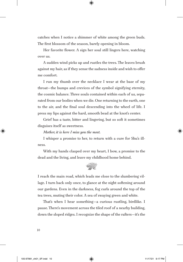catches when I notice a shimmer of white among the green buds. The first blossom of the season, barely opening in bloom.

Her favorite flower. A sign her soul still lingers here, watching over us.

A sudden wind picks up and rustles the trees. The leaves brush against my hair, as if they sense the sadness inside and wish to offer me comfort.

I run my thumb over the necklace I wear at the base of my throat— the bumps and crevices of the symbol signifying eternity, the cosmic balance. Three souls contained within each of us, separated from our bodies when we die. One returning to the earth, one to the air, and the final soul descending into the wheel of life. I press my lips against the hard, smooth bead at the knot's center.

Grief has a taste, bitter and lingering, but so soft it sometimes disguises itself as sweetness.

*Mother, it is here I miss you the most.*

I whisper a promise to her, to return with a cure for Shu's illness.

With my hands clasped over my heart, I bow, a promise to the dead and the living, and leave my childhood home behind.



I reach the main road, which leads me close to the slumbering village. I turn back only once, to glance at the night softening around our gardens. Even in the darkness, fog curls around the top of the tea trees, muting their color. A sea of swaying green and white.

That's when I hear something—a curious rustling, birdlike. I pause. There's movement across the tiled roof of a nearby building, down the sloped ridges. I recognize the shape of the rafters-it's the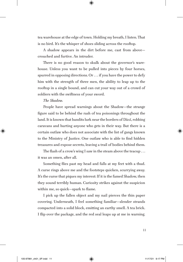tea warehouse at the edge of town. Holding my breath, I listen. That is no bird. It's the whisper of shoes sliding across the rooftop.

A shadow appears in the dirt before me, cast from above crouched and furtive. An intruder.

There is no good reason to skulk about the governor's warehouse. Unless you want to be pulled into pieces by four horses, spurred in opposing directions. Or . . . if you have the power to defy him with the strength of three men, the ability to leap up to the rooftop in a single bound, and can cut your way out of a crowd of soldiers with the swiftness of your sword.

#### *The Shadow.*

People have spread warnings about the Shadow—the strange figure said to be behind the rash of tea poisonings throughout the land. It is known that bandits lurk near the borders of Dàxī, robbing caravans and hurting anyone who gets in their way. But there is a certain outlaw who does not associate with the list of gangs known to the Ministry of Justice. One outlaw who is able to find hidden treasures and expose secrets, leaving a trail of bodies behind them.

The flash of a crow's wing I saw in the steam above the teacup... it was an omen, after all.

Something flies past my head and falls at my feet with a thud. A curse rings above me and the footsteps quicken, scurrying away. It's the curse that piques my interest: If it is the famed Shadow, then they sound terribly human. Curiosity strikes against the suspicion within me, so quick—spark to flame.

I pick up the fallen object and my nail pierces the thin paper covering. Underneath, I feel something familiar— slender strands compacted into a solid block, emitting an earthy smell. A tea brick. I flip over the package, and the red seal leaps up at me in warning.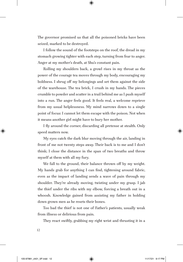The governor promised us that all the poisoned bricks have been seized, marked to be destroyed.

I follow the sound of the footsteps on the roof, the dread in my stomach growing tighter with each step, turning from fear to anger. Anger at my mother's death, at Shu's constant pain.

Rolling my shoulders back, a growl rises in my throat as the power of the courage tea moves through my body, encouraging my boldness. I shrug off my belongings and set them against the side of the warehouse. The tea brick, I crush in my hands. The pieces crumble to powder and scatter in a trail behind me as I push myself into a run. The anger feels good. It feels real, a welcome reprieve from my usual helplessness. My mind narrows down to a single point of focus: I cannot let them escape with the poison. Not when it means another girl might have to bury her mother.

I fly around the corner, discarding all pretense at stealth. Only speed matters now.

My eyes catch the dark blur moving through the air, landing in front of me not twenty steps away. Their back is to me and I don't think; I close the distance in the span of two breaths and throw myself at them with all my fury.

We fall to the ground, their balance thrown off by my weight. My hands grab for anything I can find, tightening around fabric, even as the impact of landing sends a wave of pain through my shoulder. They're already moving, twisting under my grasp. I jab the thief under the ribs with my elbow, forcing a breath out in a whoosh. Knowledge gained from assisting my father in holding down grown men as he resets their bones.

Too bad the thief is not one of Father's patients, usually weak from illness or delirious from pain.

They react swiftly, grabbing my right wrist and thrusting it in a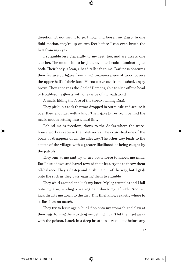direction it's not meant to go. I howl and loosen my grasp. In one fluid motion, they're up on two feet before I can even brush the hair from my eyes.

I scramble less gracefully to my feet, too, and we assess one another. The moon shines bright above our heads, illuminating us both. Their body is lean, a head taller than me. Darkness obscures their features, a figure from a nightmare—a piece of wood covers the upper half of their face. Horns curve out from slashed, angry brows. They appear as the God of Demons, able to slice off the head of troublesome ghosts with one swipe of a broadsword.

A mask, hiding the face of the terror stalking Dàxī.

They pick up a sack that was dropped in our tussle and secure it over their shoulder with a knot. Their gaze burns from behind the mask, mouth settling into a hard line.

Behind me is freedom, down to the docks where the warehouse workers receive their deliveries. They can steal one of the boats or disappear down the alleyway. The other way leads to the center of the village, with a greater likelihood of being caught by the patrols.

They run at me and try to use brute force to knock me aside. But I duck down and barrel toward their legs, trying to throw them off-balance. They sidestep and push me out of the way, but I grab onto the sack as they pass, causing them to stumble.

They whirl around and kick my knee. My leg crumples and I fall onto my arm, sending a searing pain down my left side. Another kick thrusts me down to the dirt. This thief knows exactly where to strike. I am no match.

They try to leave again, but I flop onto my stomach and claw at their legs, forcing them to drag me behind. I can't let them get away with the poison. I suck in a deep breath to scream, but before any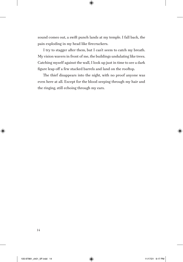sound comes out, a swift punch lands at my temple. I fall back, the pain exploding in my head like firecrackers.

I try to stagger after them, but I can't seem to catch my breath. My vision wavers in front of me, the buildings undulating like trees. Catching myself against the wall, I look up just in time to see a dark figure leap off a few stacked barrels and land on the rooftop.

The thief disappears into the night, with no proof anyone was even here at all. Except for the blood seeping through my hair and the ringing, still echoing through my ears.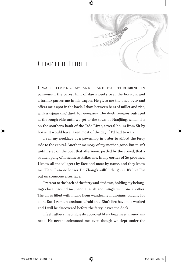# Chapter Three

I wALK— LImPIng, my AnKLe AnD FAce throBBIng In pain— until the barest hint of dawn peeks over the horizon, and a farmer passes me in his wagon. He gives me the once-over and offers me a spot in the back. I doze between bags of millet and rice, with a squawking duck for company. The duck remains outraged at the rough ride until we get to the town of Nánjiāng, which sits on the southern bank of the Jade River, several hours from Sù by horse. It would have taken most of the day if I'd had to walk.

I sell my necklace at a pawnshop in order to afford the ferry ride to the capital. Another memory of my mother, gone. But it isn't until I step on the boat that afternoon, jostled by the crowd, that a sudden pang of loneliness strikes me. In my corner of Sù province, I know all the villagers by face and most by name, and they know me. Here, I am no longer Dr. Zhang's willful daughter. It's like I've put on someone else's face.

I retreat to the back of the ferry and sit down, holding my belongings close. Around me, people laugh and mingle with one another. The air is filled with music from wandering musicians, playing for coin. But I remain anxious, afraid that Shu's lies have not worked and I will be discovered before the ferry leaves the dock.

I feel Father's inevitable disapproval like a heaviness around my neck. He never understood me, even though we slept under the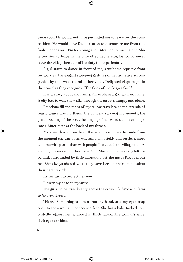same roof. He would not have permitted me to leave for the competition. He would have found reason to discourage me from this foolish endeavor—I'm too young and untrained to travel alone, Shu is too sick to leave in the care of someone else, he would never leave the village because of his duty to his patients . . .

A girl starts to dance in front of me, a welcome reprieve from my worries. The elegant sweeping gestures of her arms are accompanied by the sweet sound of her voice. Delighted claps begin in the crowd as they recognize "The Song of the Beggar Girl."

It is a story about mourning. An orphaned girl with no name. A city lost to war. She walks through the streets, hungry and alone.

Emotions fill the faces of my fellow travelers as the strands of music weave around them. The dancer's swaying movements, the gentle rocking of the boat, the longing of her words, all intermingle into a bitter taste at the back of my throat.

My sister has always been the warm one, quick to smile from the moment she was born, whereas I am prickly and restless, more at home with plants than with people. I could tell the villagers tolerated my presence, but they loved Shu. She could have easily left me behind, surrounded by their adoration, yet she never forgot about me. She always shared what they gave her, defended me against their harsh words.

It's my turn to protect her now.

I lower my head to my arms.

The girl's voice rises keenly above the crowd: "*I have wandered so far from home . . ."*

"Here." Something is thrust into my hand, and my eyes snap open to see a woman's concerned face. She has a baby tucked contentedly against her, wrapped in thick fabric. The woman's wide, dark eyes are kind.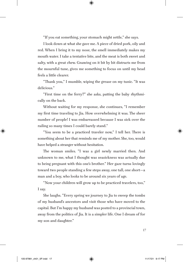"If you eat something, your stomach might settle," she says.

I look down at what she gave me. A piece of dried pork, oily and red. When I bring it to my nose, the smell immediately makes my mouth water. I take a tentative bite, and the meat is both sweet and salty, with a great chew. Gnawing on it bit by bit distracts me from the mournful tune, gives me something to focus on until my head feels a little clearer.

"Thank you," I mumble, wiping the grease on my tunic. "It was delicious."

"First time on the ferry?" she asks, patting the baby rhythmically on the back.

Without waiting for my response, she continues, "I remember my first time traveling to Jia. How overwhelming it was. The sheer number of people! I was embarrassed because I was sick over the railing so many times I could barely stand."

"You seem to be a practiced traveler now," I tell her. There is something about her that reminds me of my mother. She, too, would have helped a stranger without hesitation.

The woman smiles. "I was a girl newly married then. And unknown to me, what I thought was seasickness was actually due to being pregnant with this one's brother." Her gaze turns lovingly toward two people standing a few steps away, one tall, one short—a man and a boy, who looks to be around six years of age.

"Now your children will grow up to be practiced travelers, too," I say.

She laughs. "Every spring we journey to Jia to sweep the tombs of my husband's ancestors and visit those who have moved to the capital. But I'm happy my husband was posted to a provincial town, away from the politics of Jia. It is a simpler life. One I dream of for my son and daughter."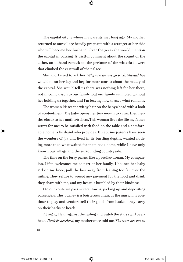The capital city is where my parents met long ago. My mother returned to our village heavily pregnant, with a stranger at her side who will become her husband. Over the years she would mention the capital in passing. A wistful comment about the sound of the zither, an offhand remark on the perfume of the wisteria flowers that climbed the east wall of the palace.

Shu and I used to ask her: *Why can we not go back, Mama?* We would sit on her lap and beg for more stories about the beauty of the capital. She would tell us there was nothing left for her there, not in comparison to our family. But our family crumbled without her holding us together, and I'm leaving now to save what remains.

The woman kisses the wispy hair on the baby's head with a look of contentment. The baby opens her tiny mouth to yawn, then nestles closer to her mother's chest. This woman lives the life my father wants for me: to be satisfied with food on the table and a comfortable home, a husband who provides. Except my parents have seen the wonders of Jia and lived in its bustling depths, wanted nothing more than what waited for them back home, while I have only known our village and the surrounding countryside.

The time on the ferry passes like a peculiar dream. My companion, Lifen, welcomes me as part of her family. I bounce her baby girl on my knee, pull the boy away from leaning too far over the railing. They refuse to accept any payment for the food and drink they share with me, and my heart is humbled by their kindness.

On our route we pass several towns, picking up and depositing passengers. The journey is a boisterous affair, as the musicians continue to play and vendors sell their goods from baskets they carry on their backs or heads.

At night, I lean against the railing and watch the stars swirl overhead. *Don't be deceived*, my mother once told me. *The stars are not as*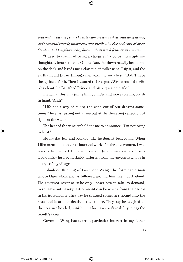*peaceful as they appear. The astronomers are tasked with deciphering their celestial travels, prophecies that predict the rise and ruin of great families and kingdoms. They burn with as much ferocity as our sun.*

"I used to dream of being a stargazer," a voice interrupts my thoughts. Lifen's husband, Official Yao, sits down heavily beside me on the deck and hands me a clay cup of millet wine. I sip it, and the earthy liquid burns through me, warming my chest. "Didn't have the aptitude for it. Then I wanted to be a poet. Wrote soulful scribbles about the Banished Prince and his sequestered isle."

I laugh at this, imagining him younger and more solemn, brush in hand. "And?"

"Life has a way of taking the wind out of our dreams sometimes," he says, gazing not at me but at the flickering reflection of light on the water.

The heat of the wine emboldens me to announce, "I'm not going to let it."

He laughs, full and relaxed, like he doesn't believe me. When Lifen mentioned that her husband works for the government, I was wary of him at first. But even from our brief conversations, I realized quickly he is remarkably different from the governor who is in charge of my village.

I shudder, thinking of Governor Wang. The formidable man whose black cloak always billowed around him like a dark cloud. The governor never asks; he only knows how to take, to demand, to squeeze until every last remnant can be wrung from the people in his jurisdiction. They say he dragged someone's hound into the road and beat it to death, for all to see. They say he laughed as the creature howled, punishment for its owner's inability to pay the month's taxes.

Governor Wang has taken a particular interest in my father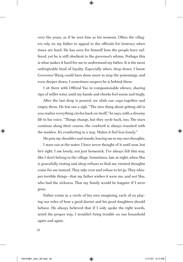over the years, as if he sees him as his nemesis. Often the villagers rely on my father to appeal to the officials for leniency when times are hard. He has seen for himself how the people have suffered, yet he is still obedient to the governor's whims. Perhaps this is what makes it hard for me to understand my father. It is the most unforgivable kind of loyalty. Especially when, deep down, I know Governor Wang could have done more to stop the poisonings, and even deeper down, I sometimes suspect he is behind them.

I sit there with Official Yao in companionable silence, sharing sips of millet wine, until my hands and cheeks feel warm and tingly.

After the last drop is poured, we clink our cups together and empty them. He lets out a sigh. "The nice thing about getting old is you realize everything circles back on itself," he says, with a dreamy lilt to his voice. "Things change, but they cycle back, too. The stars continue along their course, the cowherd is always reunited with the maiden. It's comforting in a way. Makes it feel less lonely."

He pats my shoulder and stands, leaving me to my own thoughts. I stare out at the water. I have never thought of it until now, but he's right. I *am* lonely, not just homesick. I've always felt this way, like I don't belong in the village. Sometimes, late at night, when Shu is peacefully resting and sleep refuses to find me, twisted thoughts come for me instead. They take root and refuse to let go. They whisper terrible things—that my father wishes it were me, and not Shu, who had the sickness. That my family would be happier if I were gone.

Father exists in a circle of his own imagining, each of us playing our roles of how a good doctor and his good daughters should behave. He always believed that if I only spoke the right words, acted the proper way, I wouldn't bring trouble on our household again and again.